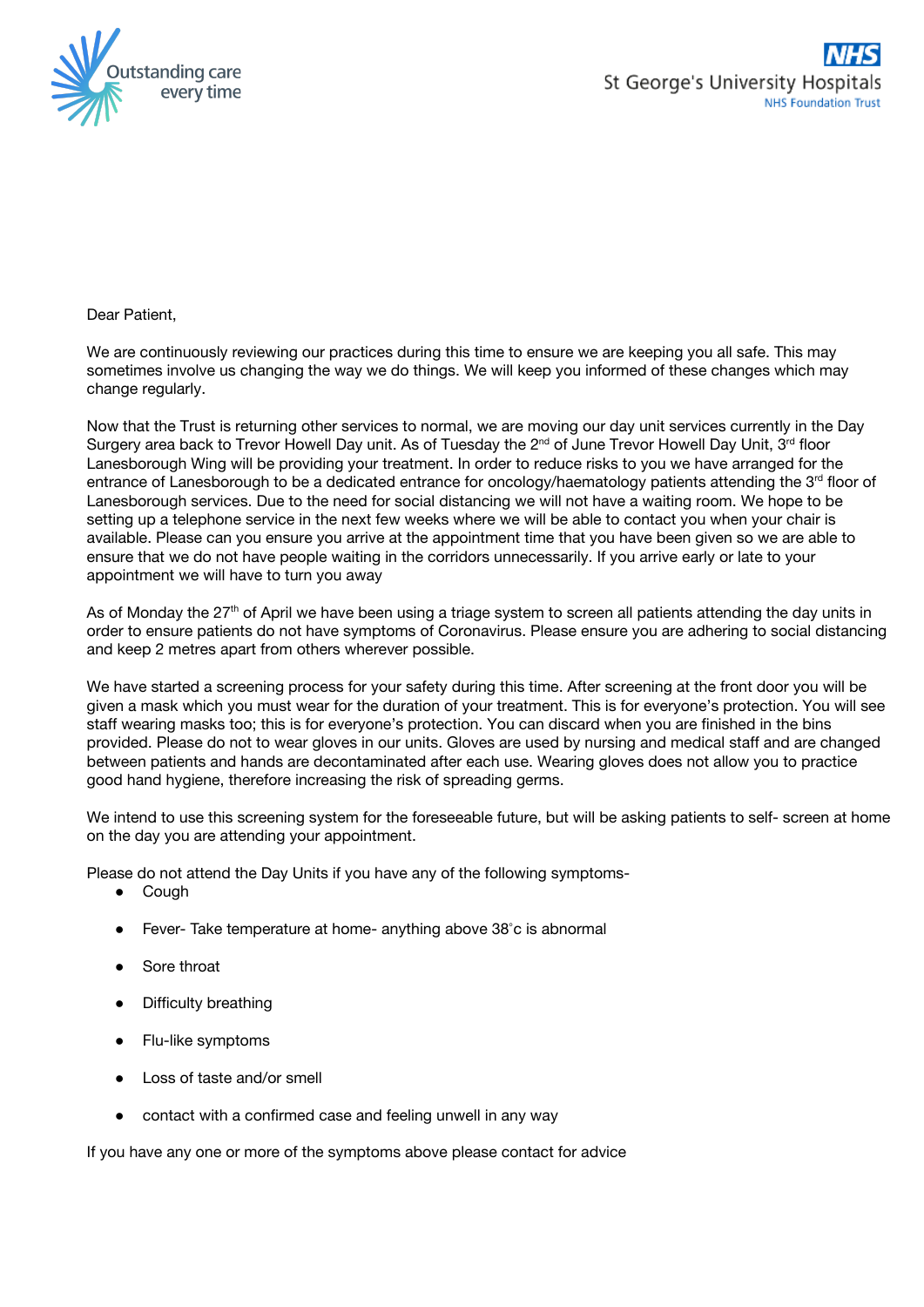

Dear Patient,

We are continuously reviewing our practices during this time to ensure we are keeping you all safe. This may sometimes involve us changing the way we do things. We will keep you informed of these changes which may change regularly.

Now that the Trust is returning other services to normal, we are moving our day unit services currently in the Day Surgery area back to Trevor Howell Day unit. As of Tuesday the 2<sup>nd</sup> of June Trevor Howell Day Unit, 3<sup>rd</sup> floor Lanesborough Wing will be providing your treatment. In order to reduce risks to you we have arranged for the entrance of Lanesborough to be a dedicated entrance for oncology/haematology patients attending the 3<sup>rd</sup> floor of Lanesborough services. Due to the need for social distancing we will not have a waiting room. We hope to be setting up a telephone service in the next few weeks where we will be able to contact you when your chair is available. Please can you ensure you arrive at the appointment time that you have been given so we are able to ensure that we do not have people waiting in the corridors unnecessarily. If you arrive early or late to your appointment we will have to turn you away

As of Monday the 27<sup>th</sup> of April we have been using a triage system to screen all patients attending the day units in order to ensure patients do not have symptoms of Coronavirus. Please ensure you are adhering to social distancing and keep 2 metres apart from others wherever possible.

We have started a screening process for your safety during this time. After screening at the front door you will be given a mask which you must wear for the duration of your treatment. This is for everyone's protection. You will see staff wearing masks too; this is for everyone's protection. You can discard when you are finished in the bins provided. Please do not to wear gloves in our units. Gloves are used by nursing and medical staff and are changed between patients and hands are decontaminated after each use. Wearing gloves does not allow you to practice good hand hygiene, therefore increasing the risk of spreading germs.

We intend to use this screening system for the foreseeable future, but will be asking patients to self- screen at home on the day you are attending your appointment.

Please do not attend the Day Units if you have any of the following symptoms-

- Cough
- Fever- Take temperature at home- anything above 38°c is abnormal
- Sore throat
- Difficulty breathing
- Flu-like symptoms
- Loss of taste and/or smell
- contact with a confirmed case and feeling unwell in any way

If you have any one or more of the symptoms above please contact for advice